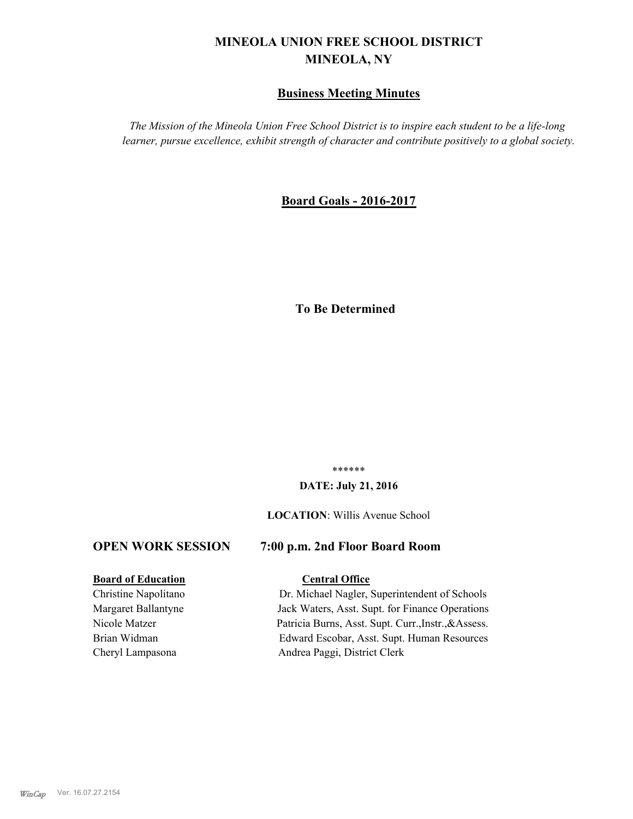# **MINEOLA UNION FREE SCHOOL DISTRICT MINEOLA, NY**

#### **Business Meeting Minutes**

*The Mission of the Mineola Union Free School District is to inspire each student to be a life-long learner, pursue excellence, exhibit strength of character and contribute positively to a global society.*

#### **Board Goals - 2016-2017**

## **To Be Determined**

\*\*\*\*\*\*

#### **DATE: July 21, 2016**

#### **LOCATION**: Willis Avenue School

#### **OPEN WORK SESSION 7:00 p.m. 2nd Floor Board Room**

#### **Board of Education Central Office**

# Christine Napolitano Dr. Michael Nagler, Superintendent of Schools

Margaret Ballantyne Jack Waters, Asst. Supt. for Finance Operations Nicole Matzer Patricia Burns, Asst. Supt. Curr.,Instr.,&Assess. Brian Widman Edward Escobar, Asst. Supt. Human Resources Cheryl Lampasona Andrea Paggi, District Clerk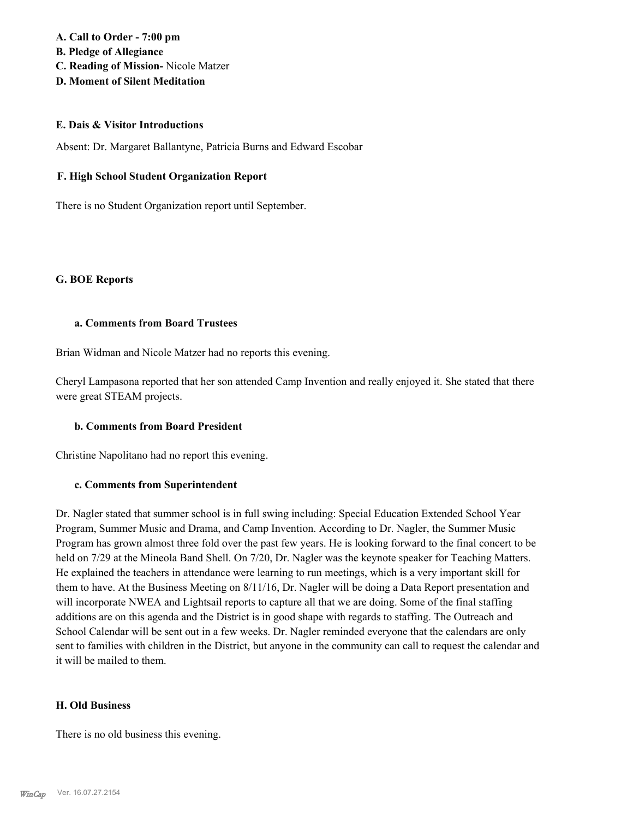#### **A. Call to Order - 7:00 pm B. Pledge of Allegiance C. Reading of Mission-** Nicole Matzer **D. Moment of Silent Meditation**

#### **E. Dais & Visitor Introductions**

Absent: Dr. Margaret Ballantyne, Patricia Burns and Edward Escobar

#### **F. High School Student Organization Report**

There is no Student Organization report until September.

#### **G. BOE Reports**

#### **a. Comments from Board Trustees**

Brian Widman and Nicole Matzer had no reports this evening.

Cheryl Lampasona reported that her son attended Camp Invention and really enjoyed it. She stated that there were great STEAM projects.

#### **b. Comments from Board President**

Christine Napolitano had no report this evening.

#### **c. Comments from Superintendent**

Dr. Nagler stated that summer school is in full swing including: Special Education Extended School Year Program, Summer Music and Drama, and Camp Invention. According to Dr. Nagler, the Summer Music Program has grown almost three fold over the past few years. He is looking forward to the final concert to be held on 7/29 at the Mineola Band Shell. On 7/20, Dr. Nagler was the keynote speaker for Teaching Matters. He explained the teachers in attendance were learning to run meetings, which is a very important skill for them to have. At the Business Meeting on 8/11/16, Dr. Nagler will be doing a Data Report presentation and will incorporate NWEA and Lightsail reports to capture all that we are doing. Some of the final staffing additions are on this agenda and the District is in good shape with regards to staffing. The Outreach and School Calendar will be sent out in a few weeks. Dr. Nagler reminded everyone that the calendars are only sent to families with children in the District, but anyone in the community can call to request the calendar and it will be mailed to them.

#### **H. Old Business**

There is no old business this evening.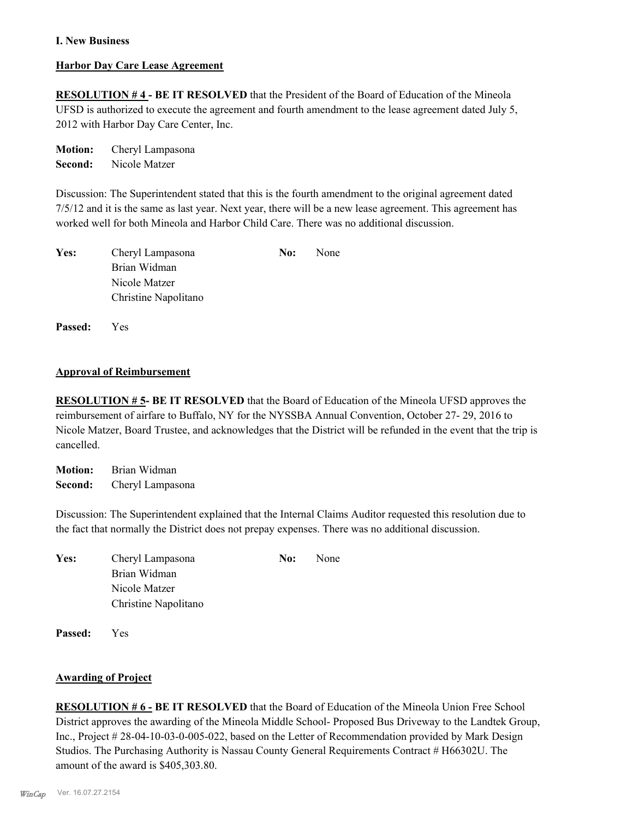#### **I. New Business**

#### **Harbor Day Care Lease Agreement**

**RESOLUTION # 4 - BE IT RESOLVED** that the President of the Board of Education of the Mineola UFSD is authorized to execute the agreement and fourth amendment to the lease agreement dated July 5, 2012 with Harbor Day Care Center, Inc.

**Motion:** Cheryl Lampasona **Second:** Nicole Matzer

Discussion: The Superintendent stated that this is the fourth amendment to the original agreement dated 7/5/12 and it is the same as last year. Next year, there will be a new lease agreement. This agreement has worked well for both Mineola and Harbor Child Care. There was no additional discussion.

| Yes: | Cheryl Lampasona     | No: | None |
|------|----------------------|-----|------|
|      | Brian Widman         |     |      |
|      | Nicole Matzer        |     |      |
|      | Christine Napolitano |     |      |

**Passed:** Yes

#### **Approval of Reimbursement**

**RESOLUTION # 5- BE IT RESOLVED** that the Board of Education of the Mineola UFSD approves the reimbursement of airfare to Buffalo, NY for the NYSSBA Annual Convention, October 27- 29, 2016 to Nicole Matzer, Board Trustee, and acknowledges that the District will be refunded in the event that the trip is cancelled.

**Motion:** Brian Widman **Second:** Cheryl Lampasona

Discussion: The Superintendent explained that the Internal Claims Auditor requested this resolution due to the fact that normally the District does not prepay expenses. There was no additional discussion.

| Yes: | Cheryl Lampasona     | No: | None |
|------|----------------------|-----|------|
|      | Brian Widman         |     |      |
|      | Nicole Matzer        |     |      |
|      | Christine Napolitano |     |      |
|      |                      |     |      |

**Passed:** Yes

#### **Awarding of Project**

**RESOLUTION # 6 - BE IT RESOLVED** that the Board of Education of the Mineola Union Free School District approves the awarding of the Mineola Middle School- Proposed Bus Driveway to the Landtek Group, Inc., Project # 28-04-10-03-0-005-022, based on the Letter of Recommendation provided by Mark Design Studios. The Purchasing Authority is Nassau County General Requirements Contract # H66302U. The amount of the award is \$405,303.80.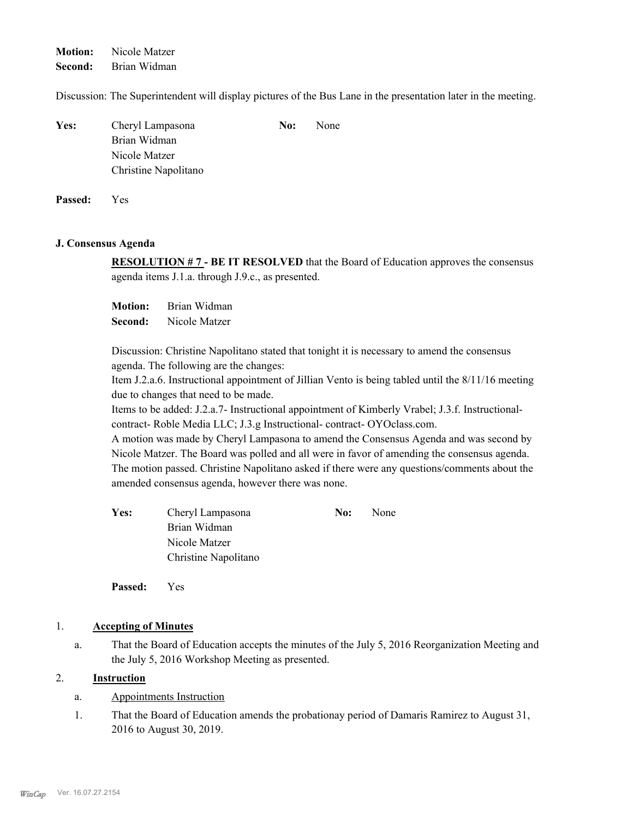**Motion:** Nicole Matzer

**Second:** Brian Widman

Discussion: The Superintendent will display pictures of the Bus Lane in the presentation later in the meeting.

| Yes: | Cheryl Lampasona     | No: | None |
|------|----------------------|-----|------|
|      | Brian Widman         |     |      |
|      | Nicole Matzer        |     |      |
|      | Christine Napolitano |     |      |
|      |                      |     |      |

**Passed:** Yes

#### **J. Consensus Agenda**

**RESOLUTION # 7 - BE IT RESOLVED** that the Board of Education approves the consensus agenda items J.1.a. through J.9.c., as presented.

**Motion:** Brian Widman **Second:** Nicole Matzer

Discussion: Christine Napolitano stated that tonight it is necessary to amend the consensus agenda. The following are the changes:

Item J.2.a.6. Instructional appointment of Jillian Vento is being tabled until the 8/11/16 meeting due to changes that need to be made.

Items to be added: J.2.a.7- Instructional appointment of Kimberly Vrabel; J.3.f. Instructionalcontract- Roble Media LLC; J.3.g Instructional- contract- OYOclass.com.

A motion was made by Cheryl Lampasona to amend the Consensus Agenda and was second by Nicole Matzer. The Board was polled and all were in favor of amending the consensus agenda. The motion passed. Christine Napolitano asked if there were any questions/comments about the amended consensus agenda, however there was none.

**Yes:** Cheryl Lampasona **No:** None Brian Widman Nicole Matzer Christine Napolitano

**Passed:** Yes

#### 1. **Accepting of Minutes**

That the Board of Education accepts the minutes of the July 5, 2016 Reorganization Meeting and the July 5, 2016 Workshop Meeting as presented. a.

#### 2. **Instruction**

- a. Appointments Instruction
- That the Board of Education amends the probationay period of Damaris Ramirez to August 31, 2016 to August 30, 2019. 1.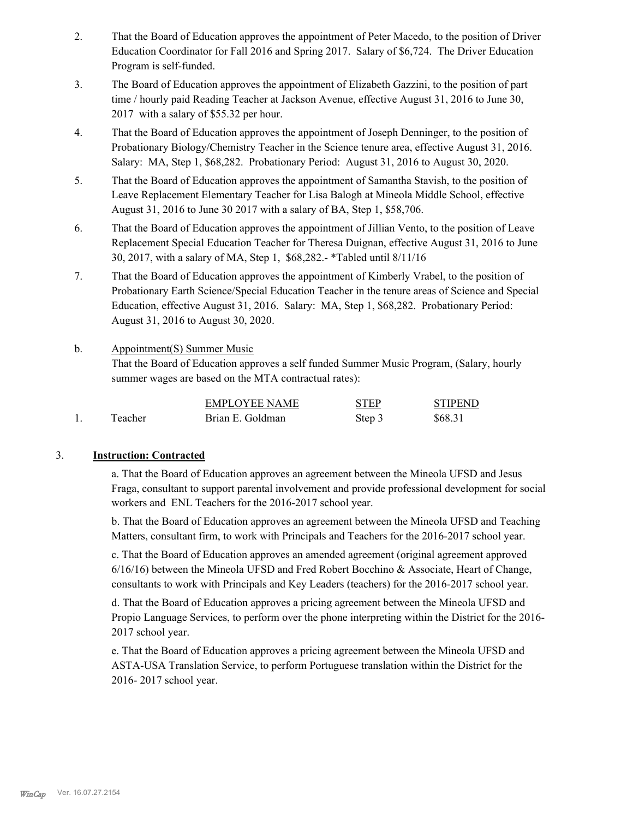- That the Board of Education approves the appointment of Peter Macedo, to the position of Driver Education Coordinator for Fall 2016 and Spring 2017. Salary of \$6,724. The Driver Education Program is self-funded. 2.
- The Board of Education approves the appointment of Elizabeth Gazzini, to the position of part time / hourly paid Reading Teacher at Jackson Avenue, effective August 31, 2016 to June 30, 2017 with a salary of \$55.32 per hour. 3.
- That the Board of Education approves the appointment of Joseph Denninger, to the position of Probationary Biology/Chemistry Teacher in the Science tenure area, effective August 31, 2016. Salary: MA, Step 1, \$68,282. Probationary Period: August 31, 2016 to August 30, 2020. 4.
- That the Board of Education approves the appointment of Samantha Stavish, to the position of Leave Replacement Elementary Teacher for Lisa Balogh at Mineola Middle School, effective August 31, 2016 to June 30 2017 with a salary of BA, Step 1, \$58,706. 5.
- That the Board of Education approves the appointment of Jillian Vento, to the position of Leave Replacement Special Education Teacher for Theresa Duignan, effective August 31, 2016 to June 30, 2017, with a salary of MA, Step 1, \$68,282.- \*Tabled until 8/11/16 6.
- That the Board of Education approves the appointment of Kimberly Vrabel, to the position of Probationary Earth Science/Special Education Teacher in the tenure areas of Science and Special Education, effective August 31, 2016. Salary: MA, Step 1, \$68,282. Probationary Period: August 31, 2016 to August 30, 2020. 7.
- Appointment(S) Summer Music That the Board of Education approves a self funded Summer Music Program, (Salary, hourly summer wages are based on the MTA contractual rates): b.

|         | <b>EMPLOYEE NAME</b> | <b>STEP</b> | <b>STIPEND</b> |
|---------|----------------------|-------------|----------------|
| Teacher | Brian E. Goldman     | Step 3      | \$68.31        |

#### 3. **Instruction: Contracted**

a. That the Board of Education approves an agreement between the Mineola UFSD and Jesus Fraga, consultant to support parental involvement and provide professional development for social workers and ENL Teachers for the 2016-2017 school year.

b. That the Board of Education approves an agreement between the Mineola UFSD and Teaching Matters, consultant firm, to work with Principals and Teachers for the 2016-2017 school year.

c. That the Board of Education approves an amended agreement (original agreement approved 6/16/16) between the Mineola UFSD and Fred Robert Bocchino & Associate, Heart of Change, consultants to work with Principals and Key Leaders (teachers) for the 2016-2017 school year.

d. That the Board of Education approves a pricing agreement between the Mineola UFSD and Propio Language Services, to perform over the phone interpreting within the District for the 2016- 2017 school year.

e. That the Board of Education approves a pricing agreement between the Mineola UFSD and ASTA-USA Translation Service, to perform Portuguese translation within the District for the 2016- 2017 school year.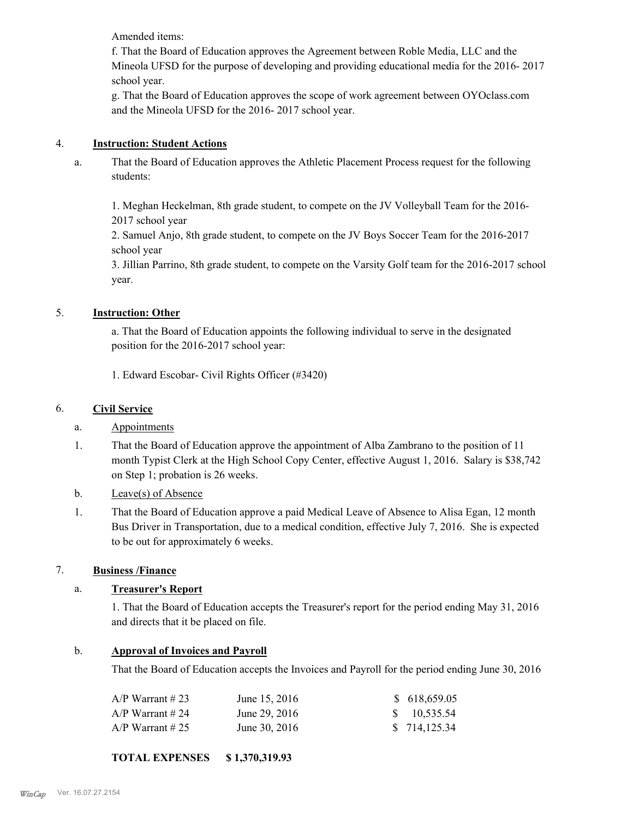Amended items:

f. That the Board of Education approves the Agreement between Roble Media, LLC and the Mineola UFSD for the purpose of developing and providing educational media for the 2016- 2017 school year.

g. That the Board of Education approves the scope of work agreement between OYOclass.com and the Mineola UFSD for the 2016- 2017 school year.

#### 4. **Instruction: Student Actions**

That the Board of Education approves the Athletic Placement Process request for the following students: a.

1. Meghan Heckelman, 8th grade student, to compete on the JV Volleyball Team for the 2016- 2017 school year

2. Samuel Anjo, 8th grade student, to compete on the JV Boys Soccer Team for the 2016-2017 school year

3. Jillian Parrino, 8th grade student, to compete on the Varsity Golf team for the 2016-2017 school year.

#### 5. **Instruction: Other**

a. That the Board of Education appoints the following individual to serve in the designated position for the 2016-2017 school year:

1. Edward Escobar- Civil Rights Officer (#3420)

#### 6. **Civil Service**

#### a. Appointments

- That the Board of Education approve the appointment of Alba Zambrano to the position of 11 month Typist Clerk at the High School Copy Center, effective August 1, 2016. Salary is \$38,742 on Step 1; probation is 26 weeks. 1.
- b. Leave(s) of Absence
- That the Board of Education approve a paid Medical Leave of Absence to Alisa Egan, 12 month Bus Driver in Transportation, due to a medical condition, effective July 7, 2016. She is expected to be out for approximately 6 weeks. 1.

#### 7. **Business /Finance**

#### a. **Treasurer's Report**

1. That the Board of Education accepts the Treasurer's report for the period ending May 31, 2016 and directs that it be placed on file.

#### b. **Approval of Invoices and Payroll**

That the Board of Education accepts the Invoices and Payroll for the period ending June 30, 2016

| A/P Warrant # 23 | June 15, 2016 | \$ 618,659.05 |
|------------------|---------------|---------------|
| A/P Warrant # 24 | June 29, 2016 | \$10,535.54   |
| A/P Warrant # 25 | June 30, 2016 | \$714,125.34  |

#### **TOTAL EXPENSES \$ 1,370,319.93**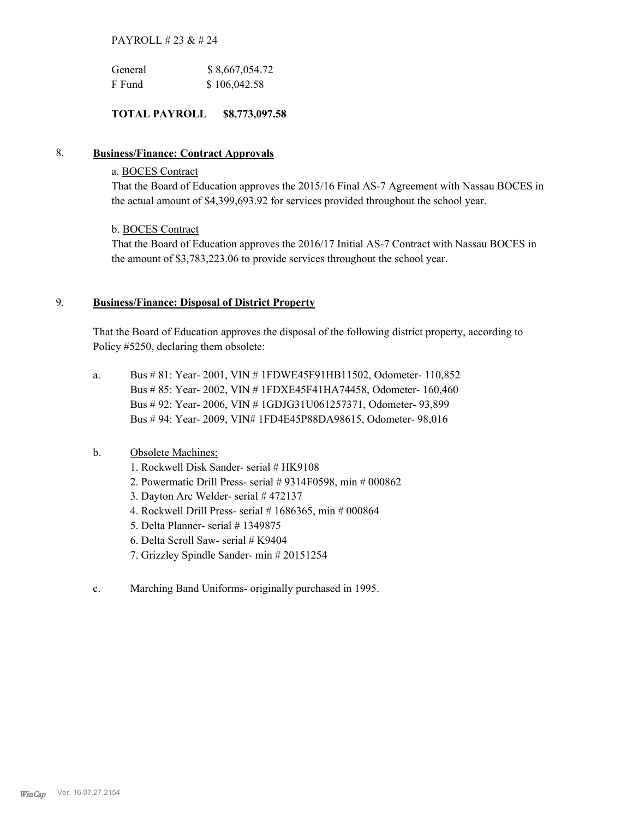#### PAYROLL # 23 & # 24

| General | \$8,667,054.72 |
|---------|----------------|
| F Fund  | \$106,042.58   |

#### **TOTAL PAYROLL \$8,773,097.58**

#### 8. **Business/Finance: Contract Approvals**

#### a. BOCES Contract

That the Board of Education approves the 2015/16 Final AS-7 Agreement with Nassau BOCES in the actual amount of \$4,399,693.92 for services provided throughout the school year.

#### b. BOCES Contract

That the Board of Education approves the 2016/17 Initial AS-7 Contract with Nassau BOCES in the amount of \$3,783,223.06 to provide services throughout the school year.

#### **Business/Finance: Disposal of District Property** 9.

That the Board of Education approves the disposal of the following district property, according to Policy #5250, declaring them obsolete:

Bus # 81: Year- 2001, VIN # 1FDWE45F91HB11502, Odometer- 110,852 Bus # 85: Year- 2002, VIN # 1FDXE45F41HA74458, Odometer- 160,460 Bus # 92: Year- 2006, VIN # 1GDJG31U061257371, Odometer- 93,899 Bus # 94: Year- 2009, VIN# 1FD4E45P88DA98615, Odometer- 98,016 a.

#### Obsolete Machines; b.

- 1. Rockwell Disk Sander- serial # HK9108
- 2. Powermatic Drill Press- serial # 9314F0598, min # 000862
- 3. Dayton Arc Welder- serial # 472137
- 4. Rockwell Drill Press- serial # 1686365, min # 000864
- 5. Delta Planner- serial # 1349875
- 6. Delta Scroll Saw- serial # K9404
- 7. Grizzley Spindle Sander- min # 20151254
- c. Marching Band Uniforms- originally purchased in 1995.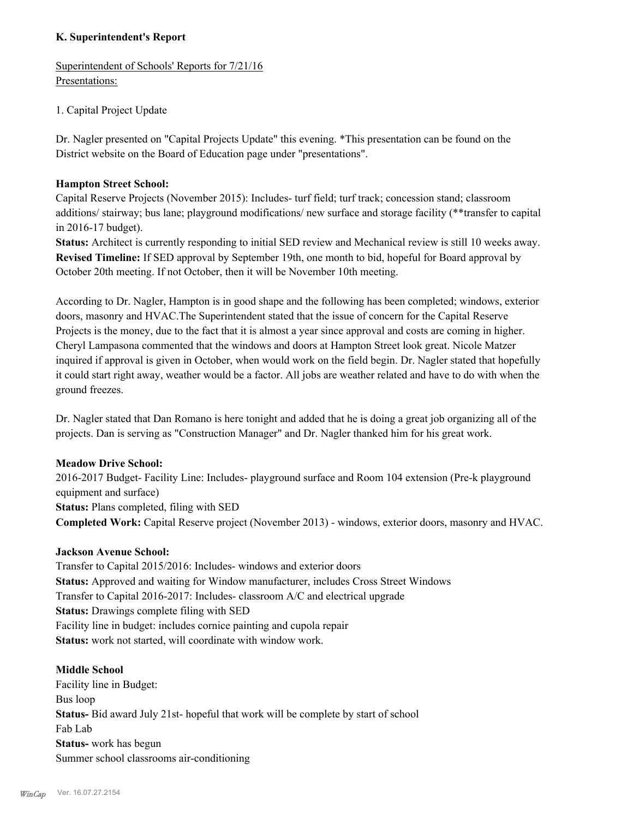#### **K. Superintendent's Report**

Superintendent of Schools' Reports for 7/21/16 Presentations:

#### 1. Capital Project Update

Dr. Nagler presented on "Capital Projects Update" this evening. \*This presentation can be found on the District website on the Board of Education page under "presentations".

#### **Hampton Street School:**

Capital Reserve Projects (November 2015): Includes- turf field; turf track; concession stand; classroom additions/ stairway; bus lane; playground modifications/ new surface and storage facility (\*\*transfer to capital in 2016-17 budget).

**Status:** Architect is currently responding to initial SED review and Mechanical review is still 10 weeks away. **Revised Timeline:** If SED approval by September 19th, one month to bid, hopeful for Board approval by October 20th meeting. If not October, then it will be November 10th meeting.

According to Dr. Nagler, Hampton is in good shape and the following has been completed; windows, exterior doors, masonry and HVAC.The Superintendent stated that the issue of concern for the Capital Reserve Projects is the money, due to the fact that it is almost a year since approval and costs are coming in higher. Cheryl Lampasona commented that the windows and doors at Hampton Street look great. Nicole Matzer inquired if approval is given in October, when would work on the field begin. Dr. Nagler stated that hopefully it could start right away, weather would be a factor. All jobs are weather related and have to do with when the ground freezes.

Dr. Nagler stated that Dan Romano is here tonight and added that he is doing a great job organizing all of the projects. Dan is serving as "Construction Manager" and Dr. Nagler thanked him for his great work.

#### **Meadow Drive School:**

2016-2017 Budget- Facility Line: Includes- playground surface and Room 104 extension (Pre-k playground equipment and surface) **Status:** Plans completed, filing with SED **Completed Work:** Capital Reserve project (November 2013) - windows, exterior doors, masonry and HVAC.

#### **Jackson Avenue School:**

Transfer to Capital 2015/2016: Includes- windows and exterior doors **Status:** Approved and waiting for Window manufacturer, includes Cross Street Windows Transfer to Capital 2016-2017: Includes- classroom A/C and electrical upgrade **Status:** Drawings complete filing with SED Facility line in budget: includes cornice painting and cupola repair **Status:** work not started, will coordinate with window work.

#### **Middle School**

Facility line in Budget: Bus loop **Status-** Bid award July 21st- hopeful that work will be complete by start of school Fab Lab **Status-** work has begun Summer school classrooms air-conditioning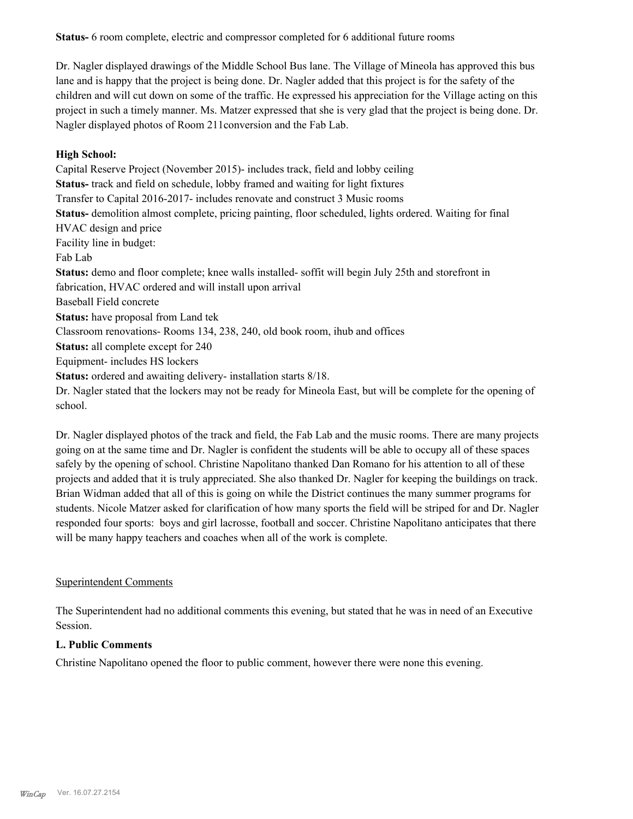**Status-** 6 room complete, electric and compressor completed for 6 additional future rooms

Dr. Nagler displayed drawings of the Middle School Bus lane. The Village of Mineola has approved this bus lane and is happy that the project is being done. Dr. Nagler added that this project is for the safety of the children and will cut down on some of the traffic. He expressed his appreciation for the Village acting on this project in such a timely manner. Ms. Matzer expressed that she is very glad that the project is being done. Dr. Nagler displayed photos of Room 211conversion and the Fab Lab.

#### **High School:**

Capital Reserve Project (November 2015)- includes track, field and lobby ceiling **Status-** track and field on schedule, lobby framed and waiting for light fixtures Transfer to Capital 2016-2017- includes renovate and construct 3 Music rooms **Status-** demolition almost complete, pricing painting, floor scheduled, lights ordered. Waiting for final HVAC design and price Facility line in budget: Fab Lab **Status:** demo and floor complete; knee walls installed- soffit will begin July 25th and storefront in fabrication, HVAC ordered and will install upon arrival Baseball Field concrete **Status:** have proposal from Land tek Classroom renovations- Rooms 134, 238, 240, old book room, ihub and offices **Status:** all complete except for 240 Equipment- includes HS lockers **Status:** ordered and awaiting delivery- installation starts 8/18. Dr. Nagler stated that the lockers may not be ready for Mineola East, but will be complete for the opening of school.

Dr. Nagler displayed photos of the track and field, the Fab Lab and the music rooms. There are many projects going on at the same time and Dr. Nagler is confident the students will be able to occupy all of these spaces safely by the opening of school. Christine Napolitano thanked Dan Romano for his attention to all of these projects and added that it is truly appreciated. She also thanked Dr. Nagler for keeping the buildings on track. Brian Widman added that all of this is going on while the District continues the many summer programs for students. Nicole Matzer asked for clarification of how many sports the field will be striped for and Dr. Nagler responded four sports: boys and girl lacrosse, football and soccer. Christine Napolitano anticipates that there will be many happy teachers and coaches when all of the work is complete.

#### Superintendent Comments

The Superintendent had no additional comments this evening, but stated that he was in need of an Executive Session.

#### **L. Public Comments**

Christine Napolitano opened the floor to public comment, however there were none this evening.